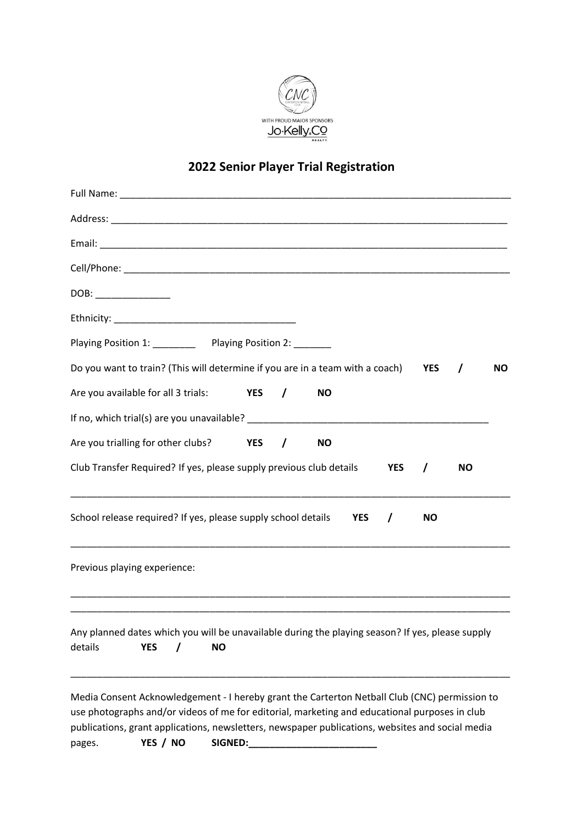

## **2022 Senior Player Trial Registration**

| DOB: _____________                                                                                                                                                                                                                                                                                 |
|----------------------------------------------------------------------------------------------------------------------------------------------------------------------------------------------------------------------------------------------------------------------------------------------------|
|                                                                                                                                                                                                                                                                                                    |
| Playing Position 1: ___________ Playing Position 2: _______                                                                                                                                                                                                                                        |
| Do you want to train? (This will determine if you are in a team with a coach)<br><b>YES</b><br><b>NO</b><br>$\prime$                                                                                                                                                                               |
| Are you available for all 3 trials: YES /<br><b>NO</b>                                                                                                                                                                                                                                             |
|                                                                                                                                                                                                                                                                                                    |
| Are you trialling for other clubs? YES /<br><b>NO</b>                                                                                                                                                                                                                                              |
| Club Transfer Required? If yes, please supply previous club details<br><b>YES</b><br><b>NO</b><br>$\prime$                                                                                                                                                                                         |
| School release required? If yes, please supply school details<br><b>YES</b><br><b>NO</b><br>$\prime$                                                                                                                                                                                               |
| Previous playing experience:                                                                                                                                                                                                                                                                       |
|                                                                                                                                                                                                                                                                                                    |
| Any planned dates which you will be unavailable during the playing season? If yes, please supply<br>details<br><b>YES</b><br><b>NO</b>                                                                                                                                                             |
| Media Consent Acknowledgement - I hereby grant the Carterton Netball Club (CNC) permission to<br>use photographs and/or videos of me for editorial, marketing and educational purposes in club<br>publications, grant applications, newsletters, newspaper publications, websites and social media |

pages. **YES / NO SIGNED:\_\_\_\_\_\_\_\_\_\_\_\_\_\_\_\_\_\_\_\_\_\_\_\_**